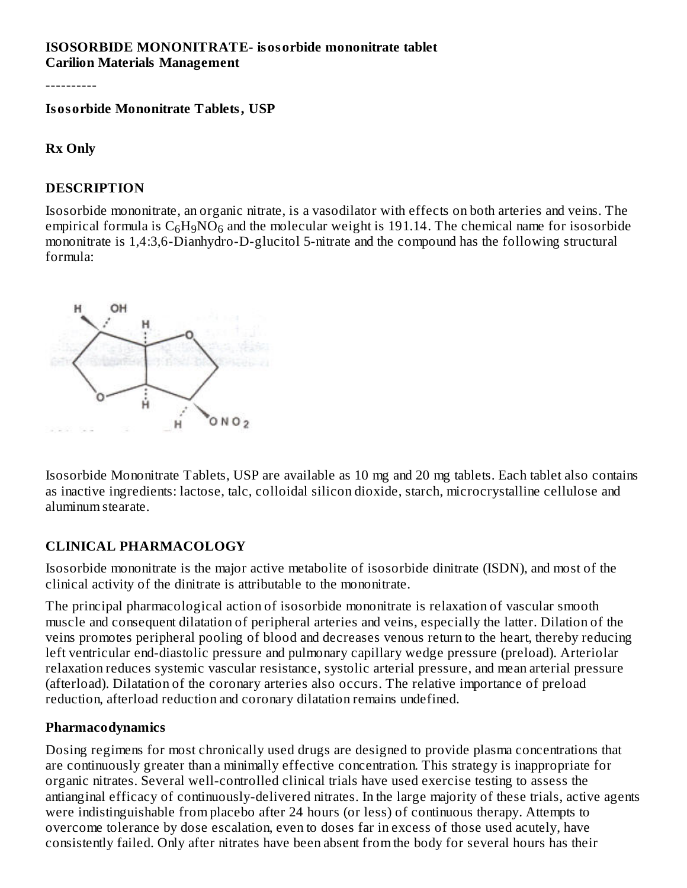#### **ISOSORBIDE MONONITRATE- isosorbide mononitrate tablet Carilion Materials Management**

----------

**Isosorbide Mononitrate Tablets, USP**

#### **Rx Only**

#### **DESCRIPTION**

Isosorbide mononitrate, an organic nitrate, is a vasodilator with effects on both arteries and veins. The empirical formula is  $\rm{C_6H_9NO_6}$  and the molecular weight is 191.14. The chemical name for isosorbide mononitrate is 1,4:3,6-Dianhydro-D-glucitol 5-nitrate and the compound has the following structural formula:



Isosorbide Mononitrate Tablets, USP are available as 10 mg and 20 mg tablets. Each tablet also contains as inactive ingredients: lactose, talc, colloidal silicon dioxide, starch, microcrystalline cellulose and aluminum stearate.

#### **CLINICAL PHARMACOLOGY**

Isosorbide mononitrate is the major active metabolite of isosorbide dinitrate (ISDN), and most of the clinical activity of the dinitrate is attributable to the mononitrate.

The principal pharmacological action of isosorbide mononitrate is relaxation of vascular smooth muscle and consequent dilatation of peripheral arteries and veins, especially the latter. Dilation of the veins promotes peripheral pooling of blood and decreases venous return to the heart, thereby reducing left ventricular end-diastolic pressure and pulmonary capillary wedge pressure (preload). Arteriolar relaxation reduces systemic vascular resistance, systolic arterial pressure, and mean arterial pressure (afterload). Dilatation of the coronary arteries also occurs. The relative importance of preload reduction, afterload reduction and coronary dilatation remains undefined.

#### **Pharmacodynamics**

Dosing regimens for most chronically used drugs are designed to provide plasma concentrations that are continuously greater than a minimally effective concentration. This strategy is inappropriate for organic nitrates. Several well-controlled clinical trials have used exercise testing to assess the antianginal efficacy of continuously-delivered nitrates. In the large majority of these trials, active agents were indistinguishable from placebo after 24 hours (or less) of continuous therapy. Attempts to overcome tolerance by dose escalation, even to doses far in excess of those used acutely, have consistently failed. Only after nitrates have been absent from the body for several hours has their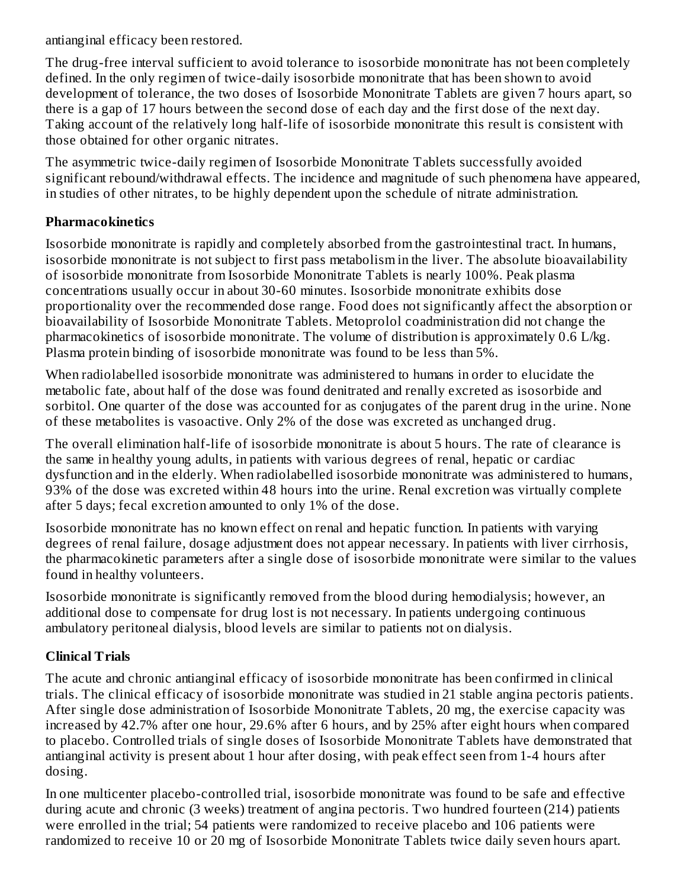antianginal efficacy been restored.

The drug-free interval sufficient to avoid tolerance to isosorbide mononitrate has not been completely defined. In the only regimen of twice-daily isosorbide mononitrate that has been shown to avoid development of tolerance, the two doses of Isosorbide Mononitrate Tablets are given 7 hours apart, so there is a gap of 17 hours between the second dose of each day and the first dose of the next day. Taking account of the relatively long half-life of isosorbide mononitrate this result is consistent with those obtained for other organic nitrates.

The asymmetric twice-daily regimen of Isosorbide Mononitrate Tablets successfully avoided significant rebound/withdrawal effects. The incidence and magnitude of such phenomena have appeared, in studies of other nitrates, to be highly dependent upon the schedule of nitrate administration.

## **Pharmacokinetics**

Isosorbide mononitrate is rapidly and completely absorbed from the gastrointestinal tract. In humans, isosorbide mononitrate is not subject to first pass metabolism in the liver. The absolute bioavailability of isosorbide mononitrate from Isosorbide Mononitrate Tablets is nearly 100%. Peak plasma concentrations usually occur in about 30-60 minutes. Isosorbide mononitrate exhibits dose proportionality over the recommended dose range. Food does not significantly affect the absorption or bioavailability of Isosorbide Mononitrate Tablets. Metoprolol coadministration did not change the pharmacokinetics of isosorbide mononitrate. The volume of distribution is approximately 0.6 L/kg. Plasma protein binding of isosorbide mononitrate was found to be less than 5%.

When radiolabelled isosorbide mononitrate was administered to humans in order to elucidate the metabolic fate, about half of the dose was found denitrated and renally excreted as isosorbide and sorbitol. One quarter of the dose was accounted for as conjugates of the parent drug in the urine. None of these metabolites is vasoactive. Only 2% of the dose was excreted as unchanged drug.

The overall elimination half-life of isosorbide mononitrate is about 5 hours. The rate of clearance is the same in healthy young adults, in patients with various degrees of renal, hepatic or cardiac dysfunction and in the elderly. When radiolabelled isosorbide mononitrate was administered to humans, 93% of the dose was excreted within 48 hours into the urine. Renal excretion was virtually complete after 5 days; fecal excretion amounted to only 1% of the dose.

Isosorbide mononitrate has no known effect on renal and hepatic function. In patients with varying degrees of renal failure, dosage adjustment does not appear necessary. In patients with liver cirrhosis, the pharmacokinetic parameters after a single dose of isosorbide mononitrate were similar to the values found in healthy volunteers.

Isosorbide mononitrate is significantly removed from the blood during hemodialysis; however, an additional dose to compensate for drug lost is not necessary. In patients undergoing continuous ambulatory peritoneal dialysis, blood levels are similar to patients not on dialysis.

# **Clinical Trials**

The acute and chronic antianginal efficacy of isosorbide mononitrate has been confirmed in clinical trials. The clinical efficacy of isosorbide mononitrate was studied in 21 stable angina pectoris patients. After single dose administration of Isosorbide Mononitrate Tablets, 20 mg, the exercise capacity was increased by 42.7% after one hour, 29.6% after 6 hours, and by 25% after eight hours when compared to placebo. Controlled trials of single doses of Isosorbide Mononitrate Tablets have demonstrated that antianginal activity is present about 1 hour after dosing, with peak effect seen from 1-4 hours after dosing.

In one multicenter placebo-controlled trial, isosorbide mononitrate was found to be safe and effective during acute and chronic (3 weeks) treatment of angina pectoris. Two hundred fourteen (214) patients were enrolled in the trial; 54 patients were randomized to receive placebo and 106 patients were randomized to receive 10 or 20 mg of Isosorbide Mononitrate Tablets twice daily seven hours apart.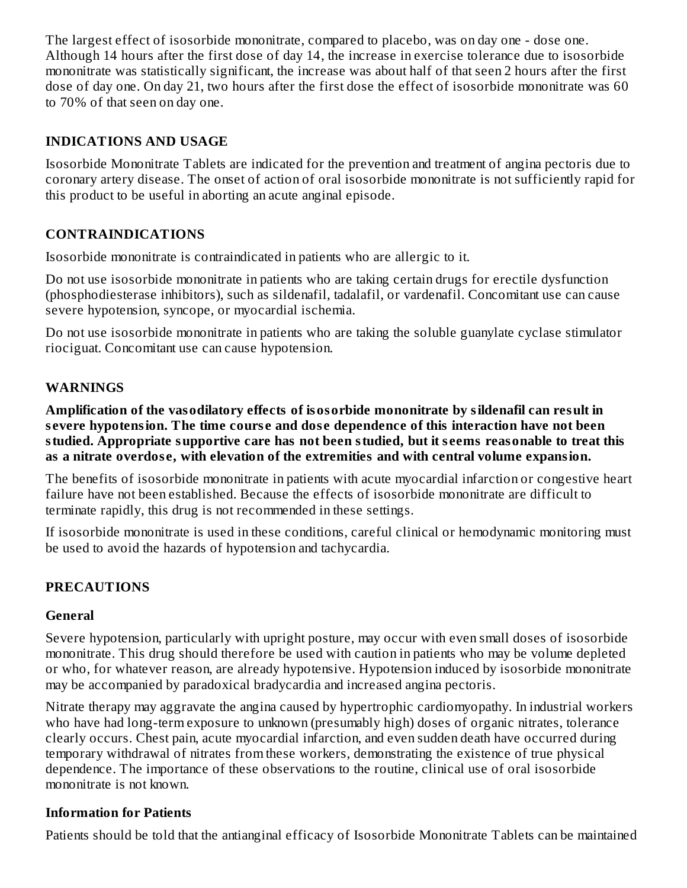The largest effect of isosorbide mononitrate, compared to placebo, was on day one - dose one. Although 14 hours after the first dose of day 14, the increase in exercise tolerance due to isosorbide mononitrate was statistically significant, the increase was about half of that seen 2 hours after the first dose of day one. On day 21, two hours after the first dose the effect of isosorbide mononitrate was 60 to 70% of that seen on day one.

#### **INDICATIONS AND USAGE**

Isosorbide Mononitrate Tablets are indicated for the prevention and treatment of angina pectoris due to coronary artery disease. The onset of action of oral isosorbide mononitrate is not sufficiently rapid for this product to be useful in aborting an acute anginal episode.

## **CONTRAINDICATIONS**

Isosorbide mononitrate is contraindicated in patients who are allergic to it.

Do not use isosorbide mononitrate in patients who are taking certain drugs for erectile dysfunction (phosphodiesterase inhibitors), such as sildenafil, tadalafil, or vardenafil. Concomitant use can cause severe hypotension, syncope, or myocardial ischemia.

Do not use isosorbide mononitrate in patients who are taking the soluble guanylate cyclase stimulator riociguat. Concomitant use can cause hypotension.

#### **WARNINGS**

**Amplification of the vasodilatory effects of isosorbide mononitrate by sildenafil can result in s evere hypotension. The time cours e and dos e dependence of this interaction have not been studied. Appropriate supportive care has not been studied, but it s eems reasonable to treat this as a nitrate overdos e, with elevation of the extremities and with central volume expansion.**

The benefits of isosorbide mononitrate in patients with acute myocardial infarction or congestive heart failure have not been established. Because the effects of isosorbide mononitrate are difficult to terminate rapidly, this drug is not recommended in these settings.

If isosorbide mononitrate is used in these conditions, careful clinical or hemodynamic monitoring must be used to avoid the hazards of hypotension and tachycardia.

#### **PRECAUTIONS**

#### **General**

Severe hypotension, particularly with upright posture, may occur with even small doses of isosorbide mononitrate. This drug should therefore be used with caution in patients who may be volume depleted or who, for whatever reason, are already hypotensive. Hypotension induced by isosorbide mononitrate may be accompanied by paradoxical bradycardia and increased angina pectoris.

Nitrate therapy may aggravate the angina caused by hypertrophic cardiomyopathy. In industrial workers who have had long-term exposure to unknown (presumably high) doses of organic nitrates, tolerance clearly occurs. Chest pain, acute myocardial infarction, and even sudden death have occurred during temporary withdrawal of nitrates from these workers, demonstrating the existence of true physical dependence. The importance of these observations to the routine, clinical use of oral isosorbide mononitrate is not known.

#### **Information for Patients**

Patients should be told that the antianginal efficacy of Isosorbide Mononitrate Tablets can be maintained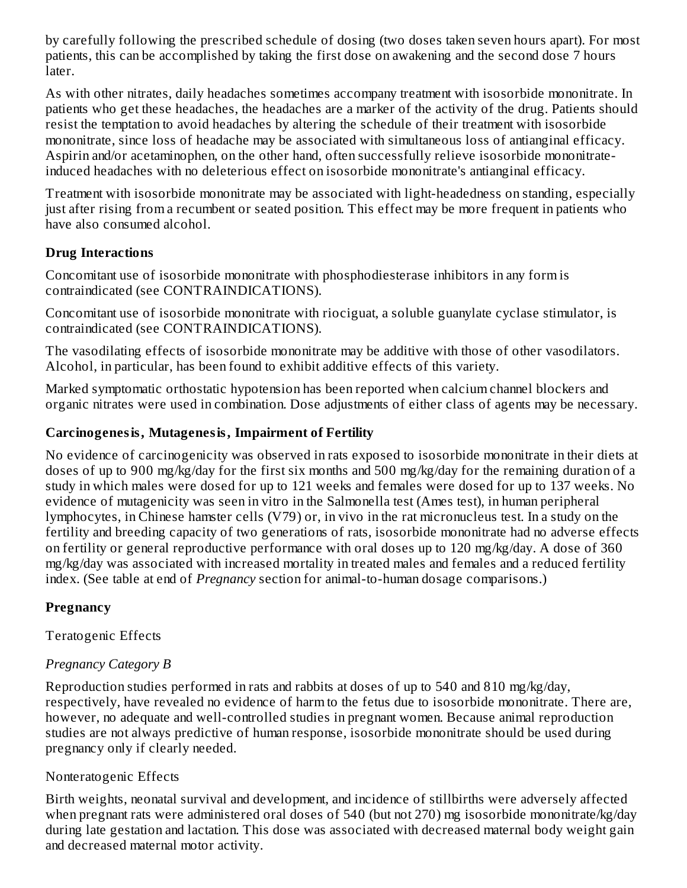by carefully following the prescribed schedule of dosing (two doses taken seven hours apart). For most patients, this can be accomplished by taking the first dose on awakening and the second dose 7 hours later.

As with other nitrates, daily headaches sometimes accompany treatment with isosorbide mononitrate. In patients who get these headaches, the headaches are a marker of the activity of the drug. Patients should resist the temptation to avoid headaches by altering the schedule of their treatment with isosorbide mononitrate, since loss of headache may be associated with simultaneous loss of antianginal efficacy. Aspirin and/or acetaminophen, on the other hand, often successfully relieve isosorbide mononitrateinduced headaches with no deleterious effect on isosorbide mononitrate's antianginal efficacy.

Treatment with isosorbide mononitrate may be associated with light-headedness on standing, especially just after rising from a recumbent or seated position. This effect may be more frequent in patients who have also consumed alcohol.

# **Drug Interactions**

Concomitant use of isosorbide mononitrate with phosphodiesterase inhibitors in any form is contraindicated (see CONTRAINDICATIONS).

Concomitant use of isosorbide mononitrate with riociguat, a soluble guanylate cyclase stimulator, is contraindicated (see CONTRAINDICATIONS).

The vasodilating effects of isosorbide mononitrate may be additive with those of other vasodilators. Alcohol, in particular, has been found to exhibit additive effects of this variety.

Marked symptomatic orthostatic hypotension has been reported when calcium channel blockers and organic nitrates were used in combination. Dose adjustments of either class of agents may be necessary.

# **Carcinogenesis, Mutagenesis, Impairment of Fertility**

No evidence of carcinogenicity was observed in rats exposed to isosorbide mononitrate in their diets at doses of up to 900 mg/kg/day for the first six months and 500 mg/kg/day for the remaining duration of a study in which males were dosed for up to 121 weeks and females were dosed for up to 137 weeks. No evidence of mutagenicity was seen in vitro in the Salmonella test (Ames test), in human peripheral lymphocytes, in Chinese hamster cells (V79) or, in vivo in the rat micronucleus test. In a study on the fertility and breeding capacity of two generations of rats, isosorbide mononitrate had no adverse effects on fertility or general reproductive performance with oral doses up to 120 mg/kg/day. A dose of 360 mg/kg/day was associated with increased mortality in treated males and females and a reduced fertility index. (See table at end of *Pregnancy* section for animal-to-human dosage comparisons.)

# **Pregnancy**

Teratogenic Effects

# *Pregnancy Category B*

Reproduction studies performed in rats and rabbits at doses of up to 540 and 810 mg/kg/day, respectively, have revealed no evidence of harm to the fetus due to isosorbide mononitrate. There are, however, no adequate and well-controlled studies in pregnant women. Because animal reproduction studies are not always predictive of human response, isosorbide mononitrate should be used during pregnancy only if clearly needed.

# Nonteratogenic Effects

Birth weights, neonatal survival and development, and incidence of stillbirths were adversely affected when pregnant rats were administered oral doses of 540 (but not 270) mg isosorbide mononitrate/kg/day during late gestation and lactation. This dose was associated with decreased maternal body weight gain and decreased maternal motor activity.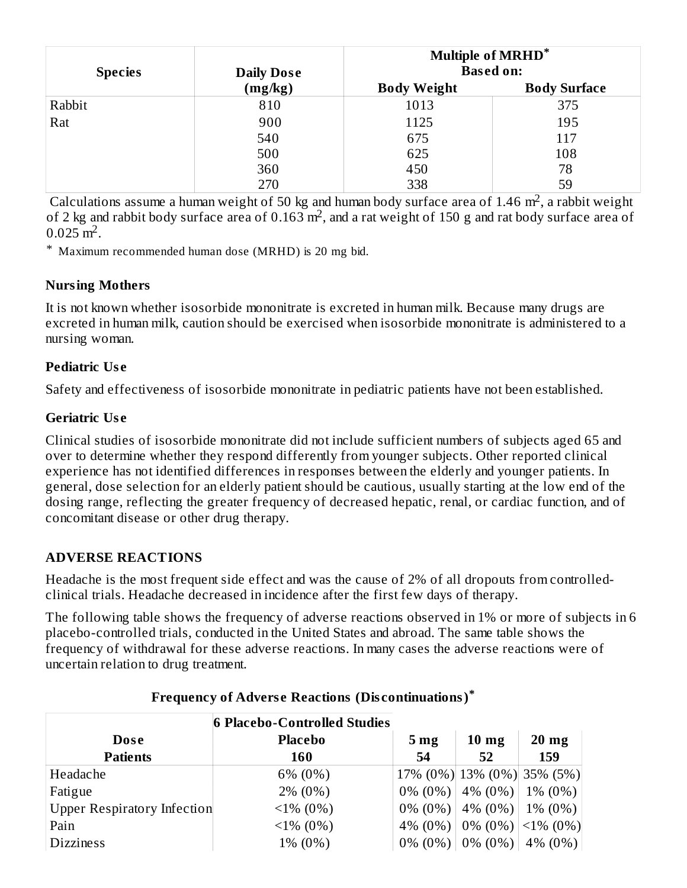| <b>Species</b> | <b>Daily Dose</b> | <b>Multiple of MRHD*</b><br><b>Based on:</b> |                     |  |  |
|----------------|-------------------|----------------------------------------------|---------------------|--|--|
|                | (mg/kg)           | <b>Body Weight</b>                           | <b>Body Surface</b> |  |  |
| Rabbit         | 810               | 1013                                         | 375                 |  |  |
| Rat            | 900               | 1125                                         | 195                 |  |  |
|                | 540               | 675                                          | 117                 |  |  |
|                | 500               | 625                                          | 108                 |  |  |
|                | 360               | 450                                          | 78                  |  |  |
|                | 270               | 338                                          | 59                  |  |  |

Calculations assume a human weight of 50 kg and human body surface area of 1.46  $m<sup>2</sup>$ , a rabbit weight of 2 kg and rabbit body surface area of 0.163  $m^2$ , and a rat weight of 150 g and rat body surface area of  $0.025 \text{ m}^2$ .

\* Maximum recommended human dose (MRHD) is 20 mg bid.

#### **Nursing Mothers**

It is not known whether isosorbide mononitrate is excreted in human milk. Because many drugs are excreted in human milk, caution should be exercised when isosorbide mononitrate is administered to a nursing woman.

## **Pediatric Us e**

Safety and effectiveness of isosorbide mononitrate in pediatric patients have not been established.

## **Geriatric Us e**

Clinical studies of isosorbide mononitrate did not include sufficient numbers of subjects aged 65 and over to determine whether they respond differently from younger subjects. Other reported clinical experience has not identified differences in responses between the elderly and younger patients. In general, dose selection for an elderly patient should be cautious, usually starting at the low end of the dosing range, reflecting the greater frequency of decreased hepatic, renal, or cardiac function, and of concomitant disease or other drug therapy.

# **ADVERSE REACTIONS**

Headache is the most frequent side effect and was the cause of 2% of all dropouts from controlledclinical trials. Headache decreased in incidence after the first few days of therapy.

The following table shows the frequency of adverse reactions observed in 1% or more of subjects in 6 placebo-controlled trials, conducted in the United States and abroad. The same table shows the frequency of withdrawal for these adverse reactions. In many cases the adverse reactions were of uncertain relation to drug treatment.

| 6 Placebo-Controlled Studies       |                |                 |                                     |                 |  |  |  |
|------------------------------------|----------------|-----------------|-------------------------------------|-----------------|--|--|--|
| Dose                               | <b>Placebo</b> | 5 <sub>mg</sub> | $10 \text{ mg}$                     | $20 \text{ mg}$ |  |  |  |
| <b>Patients</b>                    | 160            | 54              | 52                                  | 159             |  |  |  |
| Headache                           | 6% (0%)        |                 | 17% (0%) 13% (0%) 35% (5%)          |                 |  |  |  |
| Fatigue                            | $2\% (0\%)$    |                 | $0\% (0\%)$ 4\% $(0\%)$ 1\% $(0\%)$ |                 |  |  |  |
| <b>Upper Respiratory Infection</b> | $\leq$ 1% (0%) |                 | $0\%$ (0%)   4% (0%)   1% (0%)      |                 |  |  |  |
| Pain                               | $1\% (0\%)$    |                 | 4% (0%)   0% (0%)   <1% (0%)        |                 |  |  |  |
| <b>Dizziness</b>                   | 1% (0%)        |                 | $0\% (0\%)$   0% (0%)   4% (0%)     |                 |  |  |  |

# **Frequency of Advers e Reactions (Dis continuations) \***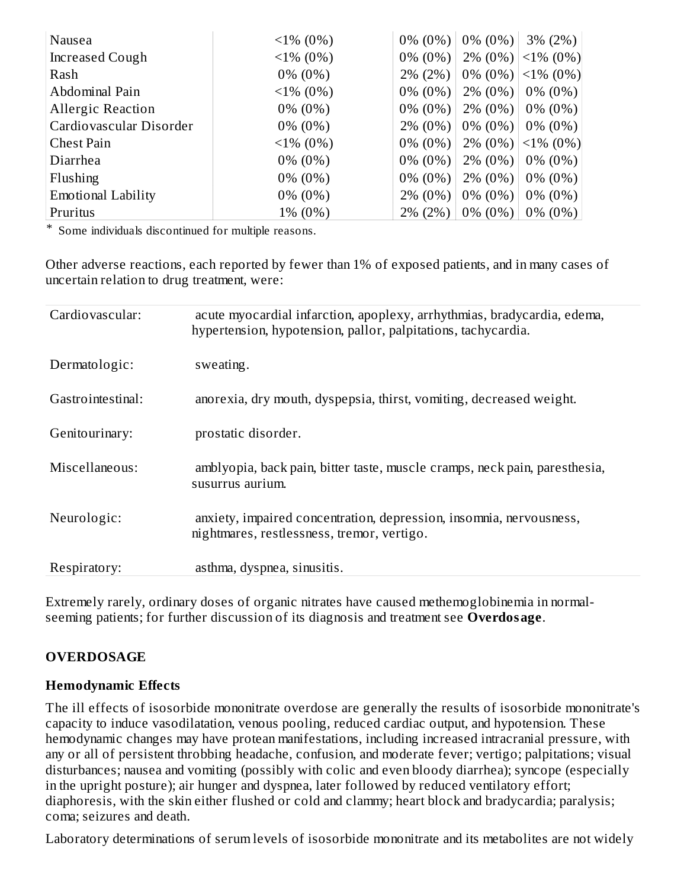| Nausea                    | $\leq$ 1% (0%) | $0\%$ (0%)  | $0\% (0\%)$ | $3\% (2\%)$    |
|---------------------------|----------------|-------------|-------------|----------------|
| Increased Cough           | $1\% (0\%)$    | $0\% (0\%)$ | $2\% (0\%)$ | $\leq$ 1% (0%) |
| Rash                      | $0\%$ (0%)     | $2\% (2\%)$ | $0\% (0\%)$ | $\leq$ 1% (0%) |
| Abdominal Pain            | $\leq$ 1% (0%) | $0\% (0\%)$ | $2\% (0\%)$ | $0\% (0\%)$    |
| <b>Allergic Reaction</b>  | $0\%$ (0%)     | $0\%$ (0%)  | $2\% (0\%)$ | $0\% (0\%)$    |
| Cardiovascular Disorder   | $0\%$ (0%)     | $2\% (0\%)$ | $0\%$ (0%)  | $0\% (0\%)$    |
| Chest Pain                | $\leq$ 1% (0%) | $0\%$ (0%)  | $2\% (0\%)$ | $\leq$ 1% (0%) |
| Diarrhea                  | $0\%$ (0%)     | $0\%$ (0%)  | $2\% (0\%)$ | $0\% (0\%)$    |
| Flushing                  | $0\%$ (0%)     | $0\% (0\%)$ | $2\% (0\%)$ | $0\% (0\%)$    |
| <b>Emotional Lability</b> | $0\%$ (0%)     | $2\% (0\%)$ | $0\%$ (0%)  | $0\% (0\%)$    |
| Pruritus                  | 1% (0%)        | 2% (2%)     | $0\%$ (0%)  | $0\% (0\%)$    |

\* Some individuals discontinued for multiple reasons.

Other adverse reactions, each reported by fewer than 1% of exposed patients, and in many cases of uncertain relation to drug treatment, were:

| Cardiovascular:   | acute myocardial infarction, apoplexy, arrhythmias, bradycardia, edema,<br>hypertension, hypotension, pallor, palpitations, tachycardia. |
|-------------------|------------------------------------------------------------------------------------------------------------------------------------------|
| Dermatologic:     | sweating.                                                                                                                                |
| Gastrointestinal: | anorexia, dry mouth, dyspepsia, thirst, vomiting, decreased weight.                                                                      |
| Genitourinary:    | prostatic disorder.                                                                                                                      |
| Miscellaneous:    | amblyopia, back pain, bitter taste, muscle cramps, neck pain, paresthesia,<br>susurrus aurium.                                           |
| Neurologic:       | anxiety, impaired concentration, depression, insomnia, nervousness,<br>nightmares, restlessness, tremor, vertigo.                        |
| Respiratory:      | asthma, dyspnea, sinusitis.                                                                                                              |

Extremely rarely, ordinary doses of organic nitrates have caused methemoglobinemia in normalseeming patients; for further discussion of its diagnosis and treatment see **Overdosage**.

# **OVERDOSAGE**

#### **Hemodynamic Effects**

The ill effects of isosorbide mononitrate overdose are generally the results of isosorbide mononitrate's capacity to induce vasodilatation, venous pooling, reduced cardiac output, and hypotension. These hemodynamic changes may have protean manifestations, including increased intracranial pressure, with any or all of persistent throbbing headache, confusion, and moderate fever; vertigo; palpitations; visual disturbances; nausea and vomiting (possibly with colic and even bloody diarrhea); syncope (especially in the upright posture); air hunger and dyspnea, later followed by reduced ventilatory effort; diaphoresis, with the skin either flushed or cold and clammy; heart block and bradycardia; paralysis; coma; seizures and death.

Laboratory determinations of serum levels of isosorbide mononitrate and its metabolites are not widely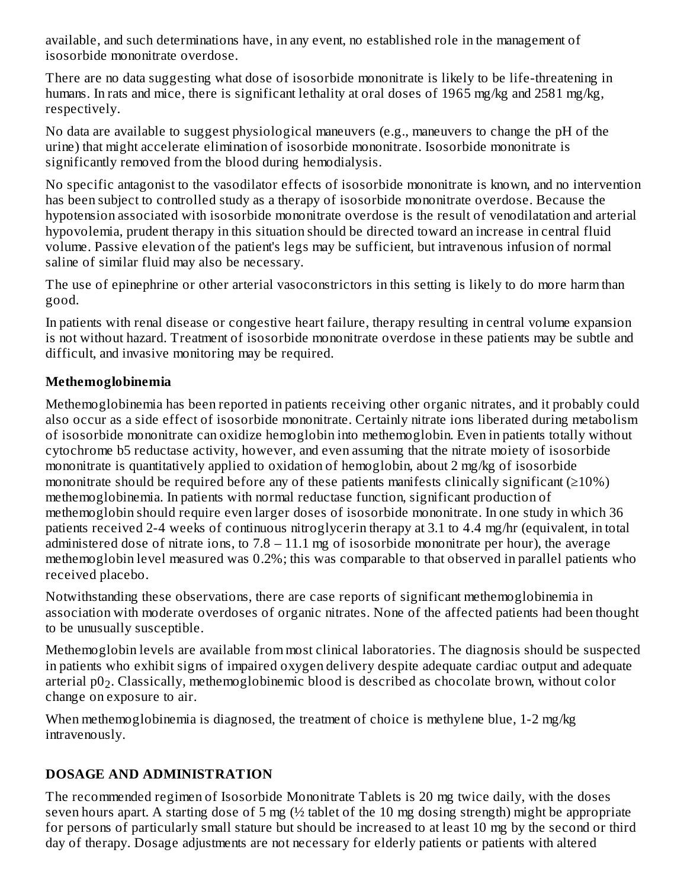available, and such determinations have, in any event, no established role in the management of isosorbide mononitrate overdose.

There are no data suggesting what dose of isosorbide mononitrate is likely to be life-threatening in humans. In rats and mice, there is significant lethality at oral doses of 1965 mg/kg and 2581 mg/kg, respectively.

No data are available to suggest physiological maneuvers (e.g., maneuvers to change the pH of the urine) that might accelerate elimination of isosorbide mononitrate. Isosorbide mononitrate is significantly removed from the blood during hemodialysis.

No specific antagonist to the vasodilator effects of isosorbide mononitrate is known, and no intervention has been subject to controlled study as a therapy of isosorbide mononitrate overdose. Because the hypotension associated with isosorbide mononitrate overdose is the result of venodilatation and arterial hypovolemia, prudent therapy in this situation should be directed toward an increase in central fluid volume. Passive elevation of the patient's legs may be sufficient, but intravenous infusion of normal saline of similar fluid may also be necessary.

The use of epinephrine or other arterial vasoconstrictors in this setting is likely to do more harm than good.

In patients with renal disease or congestive heart failure, therapy resulting in central volume expansion is not without hazard. Treatment of isosorbide mononitrate overdose in these patients may be subtle and difficult, and invasive monitoring may be required.

## **Methemoglobinemia**

Methemoglobinemia has been reported in patients receiving other organic nitrates, and it probably could also occur as a side effect of isosorbide mononitrate. Certainly nitrate ions liberated during metabolism of isosorbide mononitrate can oxidize hemoglobin into methemoglobin. Even in patients totally without cytochrome b5 reductase activity, however, and even assuming that the nitrate moiety of isosorbide mononitrate is quantitatively applied to oxidation of hemoglobin, about 2 mg/kg of isosorbide mononitrate should be required before any of these patients manifests clinically significant  $(≥10%)$ methemoglobinemia. In patients with normal reductase function, significant production of methemoglobin should require even larger doses of isosorbide mononitrate. In one study in which 36 patients received 2-4 weeks of continuous nitroglycerin therapy at 3.1 to 4.4 mg/hr (equivalent, in total administered dose of nitrate ions, to  $7.8 - 11.1$  mg of isosorbide mononitrate per hour), the average methemoglobin level measured was 0.2%; this was comparable to that observed in parallel patients who received placebo.

Notwithstanding these observations, there are case reports of significant methemoglobinemia in association with moderate overdoses of organic nitrates. None of the affected patients had been thought to be unusually susceptible.

Methemoglobin levels are available from most clinical laboratories. The diagnosis should be suspected in patients who exhibit signs of impaired oxygen delivery despite adequate cardiac output and adequate arterial  $\rm p0_2$ . Classically, methemoglobinemic blood is described as chocolate brown, without color change on exposure to air.

When methemoglobinemia is diagnosed, the treatment of choice is methylene blue, 1-2 mg/kg intravenously.

# **DOSAGE AND ADMINISTRATION**

The recommended regimen of Isosorbide Mononitrate Tablets is 20 mg twice daily, with the doses seven hours apart. A starting dose of 5 mg (½ tablet of the 10 mg dosing strength) might be appropriate for persons of particularly small stature but should be increased to at least 10 mg by the second or third day of therapy. Dosage adjustments are not necessary for elderly patients or patients with altered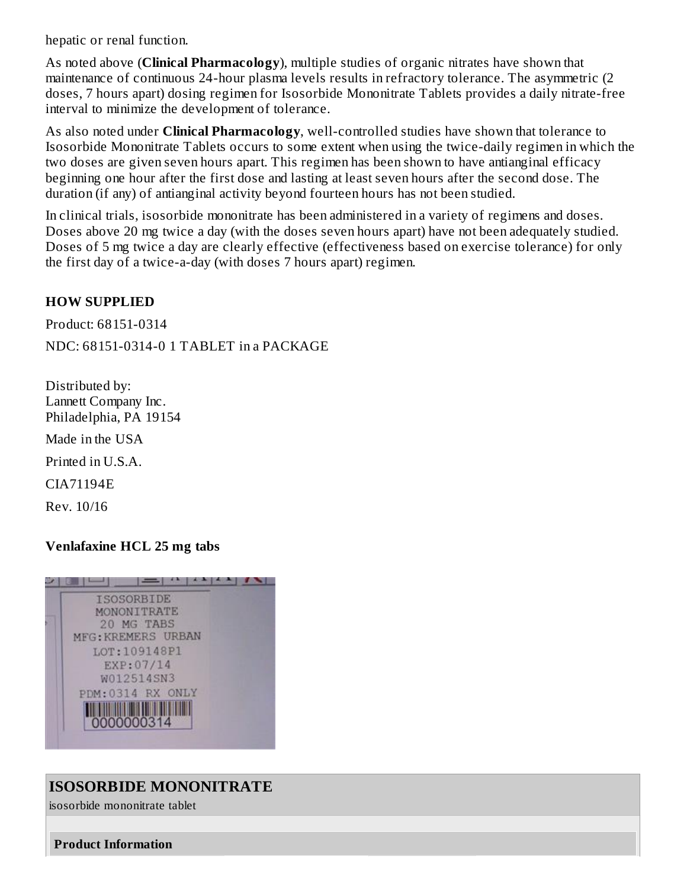hepatic or renal function.

As noted above (**Clinical Pharmacology**), multiple studies of organic nitrates have shown that maintenance of continuous 24-hour plasma levels results in refractory tolerance. The asymmetric (2 doses, 7 hours apart) dosing regimen for Isosorbide Mononitrate Tablets provides a daily nitrate-free interval to minimize the development of tolerance.

As also noted under **Clinical Pharmacology**, well-controlled studies have shown that tolerance to Isosorbide Mononitrate Tablets occurs to some extent when using the twice-daily regimen in which the two doses are given seven hours apart. This regimen has been shown to have antianginal efficacy beginning one hour after the first dose and lasting at least seven hours after the second dose. The duration (if any) of antianginal activity beyond fourteen hours has not been studied.

In clinical trials, isosorbide mononitrate has been administered in a variety of regimens and doses. Doses above 20 mg twice a day (with the doses seven hours apart) have not been adequately studied. Doses of 5 mg twice a day are clearly effective (effectiveness based on exercise tolerance) for only the first day of a twice-a-day (with doses 7 hours apart) regimen.

#### **HOW SUPPLIED**

Product: 68151-0314

NDC: 68151-0314-0 1 TABLET in a PACKAGE

Distributed by: Lannett Company Inc. Philadelphia, PA 19154

Made in the USA

Printed in U.S.A.

CIA71194E

Rev. 10/16

#### **Venlafaxine HCL 25 mg tabs**



# **ISOSORBIDE MONONITRATE**

isosorbide mononitrate tablet

#### **Product Information**